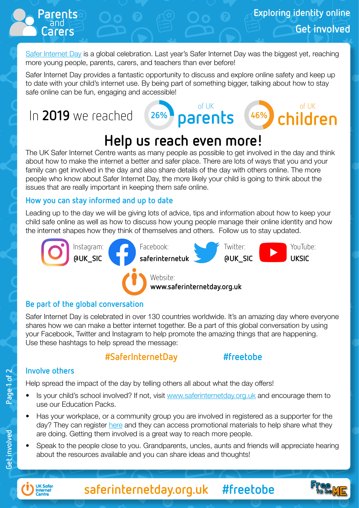of UK **children 46%**

[Safer Internet Day](http://www.saferinternetday.org.uk) is a global celebration. Last year's Safer Internet Day was the biggest yet, reaching more young people, parents, carers, and teachers than ever before!

Safer Internet Day provides a fantastic opportunity to discuss and explore online safety and keep up to date with your child's internet use. By being part of something bigger, talking about how to stay safe online can be fun, engaging and accessible!

of UK

**26%**

# In 2019 we reached *26%* parents

and **Parents**

## **Help us reach even more!**

The UK Safer Internet Centre wants as many people as possible to get involved in the day and think about how to make the internet a better and safer place. There are lots of ways that you and your family can get involved in the day and also share details of the day with others online. The more people who know about Safer Internet Day, the more likely your child is going to think about the issues that are really important in keeping them safe online.

#### **How you can stay informed and up to date**

Leading up to the day we will be giving lots of advice, tips and information about how to keep your child safe online as well as how to discuss how young people manage their online identity and how the internet shapes how they think of themselves and others. Follow us to stay updated.



#### **Be part of the global conversation**

Safer Internet Day is celebrated in over 130 countries worldwide. It's an amazing day where everyone shares how we can make a better internet together. Be a part of this global conversation by using your Facebook, Twitter and Instagram to help promote the amazing things that are happening. Use these hashtags to help spread the message:

### **#SaferInternetDay #freetobe**

#### **Involve others**

Help spread the impact of the day by telling others all about what the day offers!

- Is your child's school involved? If not, visit [www.saferinternetday.org.uk](http://www.saferinternetday.org.uk) and encourage them to use our Education Packs.
- Has your workplace, or a community group you are involved in registered as a supporter for the day? They can register [here](http://saferinternet.org.uk/sid-supporter) and they can access promotional materials to help share what they are doing. Getting them involved is a great way to reach more people.
- Speak to the people close to you. Grandparents, uncles, aunts and friends will appreciate hearing about the resources available and you can share ideas and thoughts!

Page 1 of 2



**saferinternetday.org.uk #freetobe**